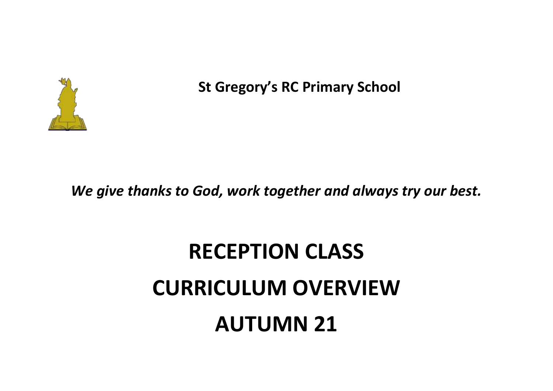

**St Gregory's RC Primary School**

*We give thanks to God, work together and always try our best.*

## **RECEPTION CLASS CURRICULUM OVERVIEW AUTUMN 21**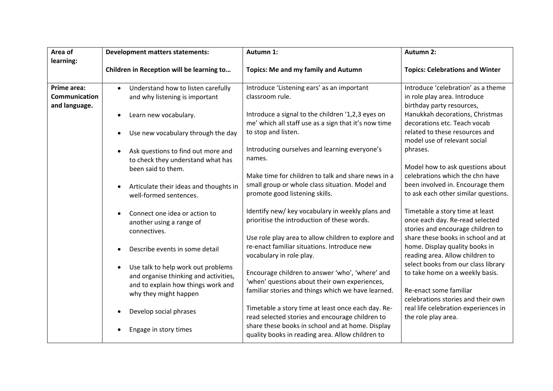| Area of<br>learning:                          | <b>Development matters statements:</b>                                                                                         | Autumn 1:                                                                                                                      | <b>Autumn 2:</b>                                                                                        |
|-----------------------------------------------|--------------------------------------------------------------------------------------------------------------------------------|--------------------------------------------------------------------------------------------------------------------------------|---------------------------------------------------------------------------------------------------------|
|                                               | Children in Reception will be learning to                                                                                      | <b>Topics: Me and my family and Autumn</b>                                                                                     | <b>Topics: Celebrations and Winter</b>                                                                  |
| Prime area:<br>Communication<br>and language. | Understand how to listen carefully<br>$\bullet$<br>and why listening is important                                              | Introduce 'Listening ears' as an important<br>classroom rule.                                                                  | Introduce 'celebration' as a theme<br>in role play area. Introduce<br>birthday party resources,         |
|                                               | Learn new vocabulary.<br>$\bullet$                                                                                             | Introduce a signal to the children '1,2,3 eyes on<br>me' which all staff use as a sign that it's now time                      | Hanukkah decorations, Christmas<br>decorations etc. Teach vocab                                         |
|                                               | Use new vocabulary through the day<br>$\bullet$                                                                                | to stop and listen.                                                                                                            | related to these resources and<br>model use of relevant social                                          |
|                                               | Ask questions to find out more and<br>$\bullet$<br>to check they understand what has                                           | Introducing ourselves and learning everyone's<br>names.                                                                        | phrases.<br>Model how to ask questions about                                                            |
|                                               | been said to them.                                                                                                             | Make time for children to talk and share news in a<br>small group or whole class situation. Model and                          | celebrations which the chn have<br>been involved in. Encourage them                                     |
|                                               | Articulate their ideas and thoughts in<br>$\bullet$<br>well-formed sentences.                                                  | promote good listening skills.                                                                                                 | to ask each other similar questions.                                                                    |
|                                               | Connect one idea or action to<br>$\bullet$<br>another using a range of<br>connectives.                                         | Identify new/ key vocabulary in weekly plans and<br>prioritise the introduction of these words.                                | Timetable a story time at least<br>once each day. Re-read selected<br>stories and encourage children to |
|                                               | Describe events in some detail<br>$\bullet$                                                                                    | Use role play area to allow children to explore and<br>re-enact familiar situations. Introduce new<br>vocabulary in role play. | share these books in school and at<br>home. Display quality books in<br>reading area. Allow children to |
|                                               | Use talk to help work out problems<br>$\bullet$<br>and organise thinking and activities,<br>and to explain how things work and | Encourage children to answer 'who', 'where' and<br>'when' questions about their own experiences,                               | select books from our class library<br>to take home on a weekly basis.<br>Re-enact some familiar        |
|                                               | why they might happen                                                                                                          | familiar stories and things which we have learned.                                                                             | celebrations stories and their own                                                                      |
|                                               | Develop social phrases                                                                                                         | Timetable a story time at least once each day. Re-<br>read selected stories and encourage children to                          | real life celebration experiences in<br>the role play area.                                             |
|                                               | Engage in story times                                                                                                          | share these books in school and at home. Display<br>quality books in reading area. Allow children to                           |                                                                                                         |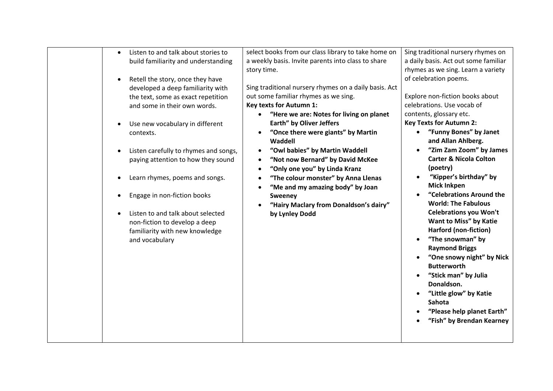| Listen to and talk about stories to<br>$\bullet$<br>build familiarity and understanding<br>Retell the story, once they have<br>$\bullet$<br>developed a deep familiarity with<br>the text, some as exact repetition<br>and some in their own words.<br>Use new vocabulary in different<br>contexts.<br>Listen carefully to rhymes and songs,<br>paying attention to how they sound<br>Learn rhymes, poems and songs.<br>Engage in non-fiction books<br>Listen to and talk about selected<br>non-fiction to develop a deep<br>familiarity with new knowledge<br>and vocabulary | select books from our class library to take home on<br>a weekly basis. Invite parents into class to share<br>story time.<br>Sing traditional nursery rhymes on a daily basis. Act<br>out some familiar rhymes as we sing.<br><b>Key texts for Autumn 1:</b><br>"Here we are: Notes for living on planet<br>Earth" by Oliver Jeffers<br>"Once there were giants" by Martin<br>Waddell<br>"Owl babies" by Martin Waddell<br>$\bullet$<br>"Not now Bernard" by David McKee<br>$\bullet$<br>"Only one you" by Linda Kranz<br>$\bullet$<br>"The colour monster" by Anna Llenas<br>$\bullet$<br>"Me and my amazing body" by Joan<br><b>Sweeney</b><br>"Hairy Maclary from Donaldson's dairy"<br>by Lynley Dodd | Sing traditional nursery rhymes on<br>a daily basis. Act out some familiar<br>rhymes as we sing. Learn a variety<br>of celebration poems.<br>Explore non-fiction books about<br>celebrations. Use vocab of<br>contents, glossary etc.<br><b>Key Texts for Autumn 2:</b><br>"Funny Bones" by Janet<br>and Allan Ahlberg.<br>"Zim Zam Zoom" by James<br><b>Carter &amp; Nicola Colton</b><br>(poetry)<br>"Kipper's birthday" by<br><b>Mick Inkpen</b><br>"Celebrations Around the<br><b>World: The Fabulous</b><br><b>Celebrations you Won't</b><br>Want to Miss" by Katie<br>Harford (non-fiction)<br>"The snowman" by<br><b>Raymond Briggs</b><br>"One snowy night" by Nick<br><b>Butterworth</b><br>"Stick man" by Julia<br>Donaldson.<br>"Little glow" by Katie<br><b>Sahota</b><br>"Please help planet Earth"<br>"Fish" by Brendan Kearney |
|-------------------------------------------------------------------------------------------------------------------------------------------------------------------------------------------------------------------------------------------------------------------------------------------------------------------------------------------------------------------------------------------------------------------------------------------------------------------------------------------------------------------------------------------------------------------------------|----------------------------------------------------------------------------------------------------------------------------------------------------------------------------------------------------------------------------------------------------------------------------------------------------------------------------------------------------------------------------------------------------------------------------------------------------------------------------------------------------------------------------------------------------------------------------------------------------------------------------------------------------------------------------------------------------------|-----------------------------------------------------------------------------------------------------------------------------------------------------------------------------------------------------------------------------------------------------------------------------------------------------------------------------------------------------------------------------------------------------------------------------------------------------------------------------------------------------------------------------------------------------------------------------------------------------------------------------------------------------------------------------------------------------------------------------------------------------------------------------------------------------------------------------------------------|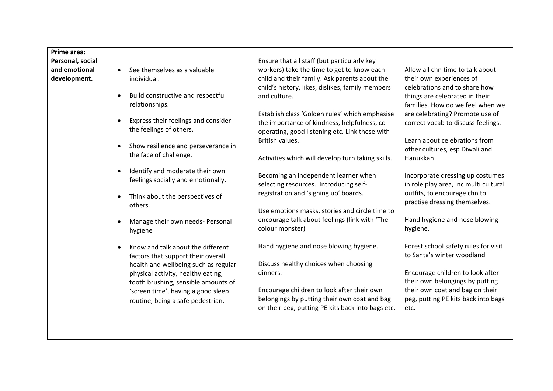| Prime area:<br>Personal, social<br>and emotional<br>development. | See themselves as a valuable<br>$\bullet$<br>individual.<br>Build constructive and respectful<br>$\bullet$<br>relationships.<br>Express their feelings and consider<br>$\bullet$<br>the feelings of others.<br>Show resilience and perseverance in<br>$\bullet$<br>the face of challenge.<br>Identify and moderate their own<br>$\bullet$<br>feelings socially and emotionally.<br>Think about the perspectives of<br>$\bullet$<br>others.<br>Manage their own needs- Personal<br>hygiene<br>Know and talk about the different<br>factors that support their overall<br>health and wellbeing such as regular<br>physical activity, healthy eating,<br>tooth brushing, sensible amounts of<br>'screen time', having a good sleep<br>routine, being a safe pedestrian. | Ensure that all staff (but particularly key<br>workers) take the time to get to know each<br>child and their family. Ask parents about the<br>child's history, likes, dislikes, family members<br>and culture.<br>Establish class 'Golden rules' which emphasise<br>the importance of kindness, helpfulness, co-<br>operating, good listening etc. Link these with<br>British values.<br>Activities which will develop turn taking skills.<br>Becoming an independent learner when<br>selecting resources. Introducing self-<br>registration and 'signing up' boards.<br>Use emotions masks, stories and circle time to<br>encourage talk about feelings (link with 'The<br>colour monster)<br>Hand hygiene and nose blowing hygiene.<br>Discuss healthy choices when choosing<br>dinners.<br>Encourage children to look after their own<br>belongings by putting their own coat and bag<br>on their peg, putting PE kits back into bags etc. | Allow all chn time to talk about<br>their own experiences of<br>celebrations and to share how<br>things are celebrated in their<br>families. How do we feel when we<br>are celebrating? Promote use of<br>correct vocab to discuss feelings.<br>Learn about celebrations from<br>other cultures, esp Diwali and<br>Hanukkah.<br>Incorporate dressing up costumes<br>in role play area, inc multi cultural<br>outfits, to encourage chn to<br>practise dressing themselves.<br>Hand hygiene and nose blowing<br>hygiene.<br>Forest school safety rules for visit<br>to Santa's winter woodland<br>Encourage children to look after<br>their own belongings by putting<br>their own coat and bag on their<br>peg, putting PE kits back into bags<br>etc. |
|------------------------------------------------------------------|----------------------------------------------------------------------------------------------------------------------------------------------------------------------------------------------------------------------------------------------------------------------------------------------------------------------------------------------------------------------------------------------------------------------------------------------------------------------------------------------------------------------------------------------------------------------------------------------------------------------------------------------------------------------------------------------------------------------------------------------------------------------|-----------------------------------------------------------------------------------------------------------------------------------------------------------------------------------------------------------------------------------------------------------------------------------------------------------------------------------------------------------------------------------------------------------------------------------------------------------------------------------------------------------------------------------------------------------------------------------------------------------------------------------------------------------------------------------------------------------------------------------------------------------------------------------------------------------------------------------------------------------------------------------------------------------------------------------------------|--------------------------------------------------------------------------------------------------------------------------------------------------------------------------------------------------------------------------------------------------------------------------------------------------------------------------------------------------------------------------------------------------------------------------------------------------------------------------------------------------------------------------------------------------------------------------------------------------------------------------------------------------------------------------------------------------------------------------------------------------------|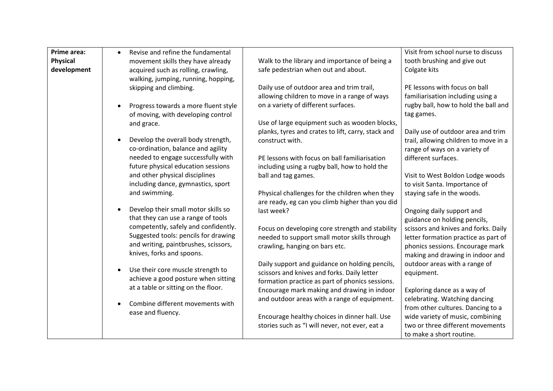| Prime area:<br><b>Physical</b><br>development | Revise and refine the fundamental<br>$\bullet$<br>movement skills they have already<br>acquired such as rolling, crawling,<br>walking, jumping, running, hopping,<br>skipping and climbing. | Walk to the library and importance of being a<br>safe pedestrian when out and about.<br>Daily use of outdoor area and trim trail,<br>allowing children to move in a range of ways | Visit from school nurse to discuss<br>tooth brushing and give out<br>Colgate kits<br>PE lessons with focus on ball<br>familiarisation including using a |
|-----------------------------------------------|---------------------------------------------------------------------------------------------------------------------------------------------------------------------------------------------|-----------------------------------------------------------------------------------------------------------------------------------------------------------------------------------|---------------------------------------------------------------------------------------------------------------------------------------------------------|
|                                               | Progress towards a more fluent style<br>$\bullet$<br>of moving, with developing control<br>and grace.                                                                                       | on a variety of different surfaces.<br>Use of large equipment such as wooden blocks,                                                                                              | rugby ball, how to hold the ball and<br>tag games.                                                                                                      |
|                                               | Develop the overall body strength,<br>co-ordination, balance and agility<br>needed to engage successfully with                                                                              | planks, tyres and crates to lift, carry, stack and<br>construct with.<br>PE lessons with focus on ball familiarisation                                                            | Daily use of outdoor area and trim<br>trail, allowing children to move in a<br>range of ways on a variety of<br>different surfaces.                     |
|                                               | future physical education sessions<br>and other physical disciplines<br>including dance, gymnastics, sport<br>and swimming.                                                                 | including using a rugby ball, how to hold the<br>ball and tag games.<br>Physical challenges for the children when they                                                            | Visit to West Boldon Lodge woods<br>to visit Santa. Importance of<br>staying safe in the woods.                                                         |
|                                               | Develop their small motor skills so<br>$\bullet$<br>that they can use a range of tools<br>competently, safely and confidently.                                                              | are ready, eg can you climb higher than you did<br>last week?<br>Focus on developing core strength and stability                                                                  | Ongoing daily support and<br>guidance on holding pencils,<br>scissors and knives and forks. Daily                                                       |
|                                               | Suggested tools: pencils for drawing<br>and writing, paintbrushes, scissors,<br>knives, forks and spoons.                                                                                   | needed to support small motor skills through<br>crawling, hanging on bars etc.                                                                                                    | letter formation practice as part of<br>phonics sessions. Encourage mark<br>making and drawing in indoor and                                            |
|                                               | Use their core muscle strength to<br>$\bullet$<br>achieve a good posture when sitting<br>at a table or sitting on the floor.                                                                | Daily support and guidance on holding pencils,<br>scissors and knives and forks. Daily letter<br>formation practice as part of phonics sessions.                                  | outdoor areas with a range of<br>equipment.                                                                                                             |
|                                               | Combine different movements with<br>ease and fluency.                                                                                                                                       | Encourage mark making and drawing in indoor<br>and outdoor areas with a range of equipment.<br>Encourage healthy choices in dinner hall. Use                                      | Exploring dance as a way of<br>celebrating. Watching dancing<br>from other cultures. Dancing to a<br>wide variety of music, combining                   |
|                                               |                                                                                                                                                                                             | stories such as "I will never, not ever, eat a                                                                                                                                    | two or three different movements<br>to make a short routine.                                                                                            |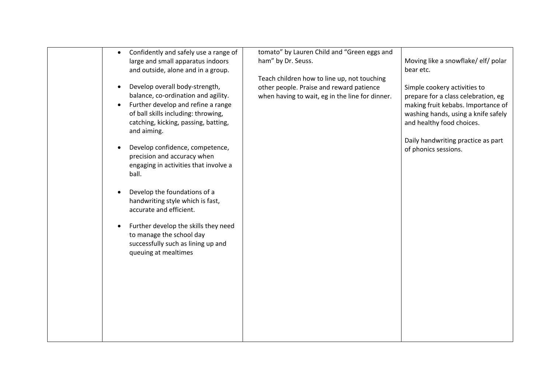| Confidently and safely use a range of<br>$\bullet$<br>large and small apparatus indoors<br>and outside, alone and in a group.<br>Develop overall body-strength,<br>balance, co-ordination and agility.<br>Further develop and refine a range<br>of ball skills including: throwing,<br>catching, kicking, passing, batting,<br>and aiming.<br>Develop confidence, competence,<br>precision and accuracy when<br>engaging in activities that involve a<br>ball.<br>Develop the foundations of a<br>handwriting style which is fast,<br>accurate and efficient.<br>Further develop the skills they need<br>to manage the school day<br>successfully such as lining up and<br>queuing at mealtimes | tomato" by Lauren Child and "Green eggs and<br>ham" by Dr. Seuss.<br>Teach children how to line up, not touching<br>other people. Praise and reward patience<br>when having to wait, eg in the line for dinner. | Moving like a snowflake/ elf/ polar<br>bear etc.<br>Simple cookery activities to<br>prepare for a class celebration, eg<br>making fruit kebabs. Importance of<br>washing hands, using a knife safely<br>and healthy food choices.<br>Daily handwriting practice as part<br>of phonics sessions. |
|-------------------------------------------------------------------------------------------------------------------------------------------------------------------------------------------------------------------------------------------------------------------------------------------------------------------------------------------------------------------------------------------------------------------------------------------------------------------------------------------------------------------------------------------------------------------------------------------------------------------------------------------------------------------------------------------------|-----------------------------------------------------------------------------------------------------------------------------------------------------------------------------------------------------------------|-------------------------------------------------------------------------------------------------------------------------------------------------------------------------------------------------------------------------------------------------------------------------------------------------|
|                                                                                                                                                                                                                                                                                                                                                                                                                                                                                                                                                                                                                                                                                                 |                                                                                                                                                                                                                 |                                                                                                                                                                                                                                                                                                 |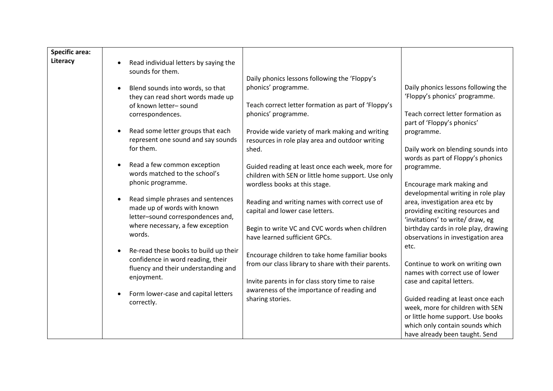| <b>Specific area:</b><br>Literacy | Read individual letters by saying the<br>$\bullet$                                                                 |                                                                                                        |                                                                                                         |
|-----------------------------------|--------------------------------------------------------------------------------------------------------------------|--------------------------------------------------------------------------------------------------------|---------------------------------------------------------------------------------------------------------|
|                                   | sounds for them.<br>Blend sounds into words, so that<br>$\bullet$                                                  | Daily phonics lessons following the 'Floppy's<br>phonics' programme.                                   | Daily phonics lessons following the                                                                     |
|                                   | they can read short words made up                                                                                  |                                                                                                        | 'Floppy's phonics' programme.                                                                           |
|                                   | of known letter-sound                                                                                              | Teach correct letter formation as part of 'Floppy's                                                    |                                                                                                         |
|                                   | correspondences.                                                                                                   | phonics' programme.                                                                                    | Teach correct letter formation as<br>part of 'Floppy's phonics'                                         |
|                                   | Read some letter groups that each<br>$\bullet$                                                                     | Provide wide variety of mark making and writing                                                        | programme.                                                                                              |
|                                   | represent one sound and say sounds<br>for them.                                                                    | resources in role play area and outdoor writing<br>shed.                                               | Daily work on blending sounds into<br>words as part of Floppy's phonics                                 |
|                                   | Read a few common exception<br>$\bullet$<br>words matched to the school's                                          | Guided reading at least once each week, more for<br>children with SEN or little home support. Use only | programme.                                                                                              |
|                                   | phonic programme.                                                                                                  | wordless books at this stage.                                                                          | Encourage mark making and<br>developmental writing in role play                                         |
|                                   | Read simple phrases and sentences<br>$\bullet$<br>made up of words with known<br>letter-sound correspondences and, | Reading and writing names with correct use of<br>capital and lower case letters.                       | area, investigation area etc by<br>providing exciting resources and<br>'invitations' to write/ draw, eg |
|                                   | where necessary, a few exception<br>words.                                                                         | Begin to write VC and CVC words when children<br>have learned sufficient GPCs.                         | birthday cards in role play, drawing<br>observations in investigation area                              |
|                                   | Re-read these books to build up their<br>$\bullet$<br>confidence in word reading, their                            | Encourage children to take home familiar books<br>from our class library to share with their parents.  | etc.<br>Continue to work on writing own                                                                 |
|                                   | fluency and their understanding and<br>enjoyment.                                                                  |                                                                                                        | names with correct use of lower                                                                         |
|                                   |                                                                                                                    | Invite parents in for class story time to raise<br>awareness of the importance of reading and          | case and capital letters.                                                                               |
|                                   | Form lower-case and capital letters<br>correctly.                                                                  | sharing stories.                                                                                       | Guided reading at least once each                                                                       |
|                                   |                                                                                                                    |                                                                                                        | week, more for children with SEN                                                                        |
|                                   |                                                                                                                    |                                                                                                        | or little home support. Use books<br>which only contain sounds which                                    |
|                                   |                                                                                                                    |                                                                                                        | have already been taught. Send                                                                          |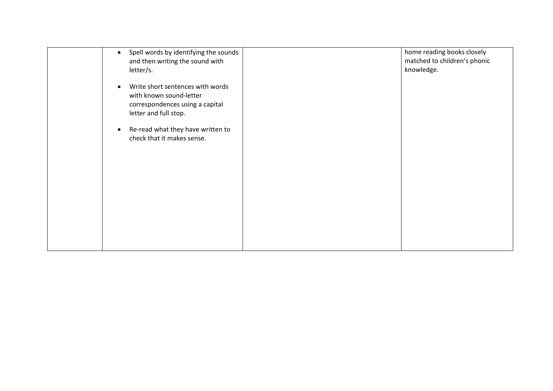| Spell words by identifying the sounds<br>$\bullet$<br>and then writing the sound with<br>letter/s.                      | home reading books closely<br>matched to children's phonic<br>knowledge. |
|-------------------------------------------------------------------------------------------------------------------------|--------------------------------------------------------------------------|
| Write short sentences with words<br>with known sound-letter<br>correspondences using a capital<br>letter and full stop. |                                                                          |
| Re-read what they have written to<br>check that it makes sense.                                                         |                                                                          |
|                                                                                                                         |                                                                          |
|                                                                                                                         |                                                                          |
|                                                                                                                         |                                                                          |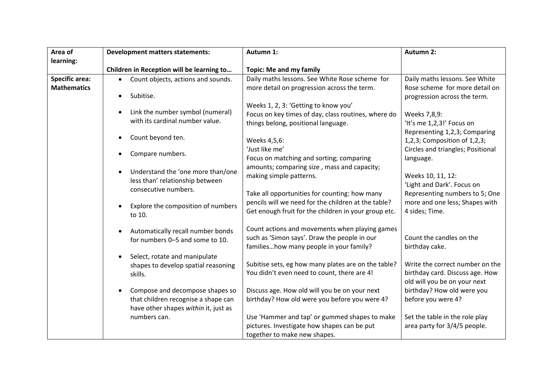| Area of               | <b>Development matters statements:</b>          | Autumn 1:                                            | <b>Autumn 2:</b>                                 |
|-----------------------|-------------------------------------------------|------------------------------------------------------|--------------------------------------------------|
| learning:             |                                                 |                                                      |                                                  |
|                       | Children in Reception will be learning to       | <b>Topic: Me and my family</b>                       |                                                  |
| <b>Specific area:</b> | Count objects, actions and sounds.<br>$\bullet$ | Daily maths lessons. See White Rose scheme for       | Daily maths lessons. See White                   |
| <b>Mathematics</b>    |                                                 | more detail on progression across the term.          | Rose scheme for more detail on                   |
|                       | Subitise.<br>$\bullet$                          |                                                      | progression across the term.                     |
|                       |                                                 | Weeks 1, 2, 3: 'Getting to know you'                 |                                                  |
|                       | Link the number symbol (numeral)                | Focus on key times of day, class routines, where do  | Weeks 7,8,9:                                     |
|                       | with its cardinal number value.                 | things belong, positional language.                  | 'It's me 1,2,3!' Focus on                        |
|                       | Count beyond ten.                               |                                                      | Representing 1,2,3; Comparing                    |
|                       |                                                 | Weeks 4,5,6:                                         | 1,2,3; Composition of 1,2,3;                     |
|                       | Compare numbers.                                | 'Just like me'                                       | Circles and triangles; Positional                |
|                       |                                                 | Focus on matching and sorting; comparing             | language.                                        |
|                       | Understand the 'one more than/one               | amounts; comparing size, mass and capacity;          |                                                  |
|                       | less than' relationship between                 | making simple patterns.                              | Weeks 10, 11, 12:                                |
|                       | consecutive numbers.                            |                                                      | 'Light and Dark'. Focus on                       |
|                       |                                                 | Take all opportunities for counting: how many        | Representing numbers to 5; One                   |
|                       | Explore the composition of numbers<br>$\bullet$ | pencils will we need for the children at the table?  | more and one less; Shapes with<br>4 sides; Time. |
|                       | to 10.                                          | Get enough fruit for the children in your group etc. |                                                  |
|                       |                                                 | Count actions and movements when playing games       |                                                  |
|                       | Automatically recall number bonds               | such as 'Simon says'. Draw the people in our         | Count the candles on the                         |
|                       | for numbers 0-5 and some to 10.                 | familieshow many people in your family?              | birthday cake.                                   |
|                       | Select, rotate and manipulate                   |                                                      |                                                  |
|                       | shapes to develop spatial reasoning             | Subitise sets, eg how many plates are on the table?  | Write the correct number on the                  |
|                       | skills.                                         | You didn't even need to count, there are 4!          | birthday card. Discuss age. How                  |
|                       |                                                 |                                                      | old will you be on your next                     |
|                       | Compose and decompose shapes so                 | Discuss age. How old will you be on your next        | birthday? How old were you                       |
|                       | that children recognise a shape can             | birthday? How old were you before you were 4?        | before you were 4?                               |
|                       | have other shapes within it, just as            |                                                      |                                                  |
|                       | numbers can.                                    | Use 'Hammer and tap' or gummed shapes to make        | Set the table in the role play                   |
|                       |                                                 | pictures. Investigate how shapes can be put          | area party for 3/4/5 people.                     |
|                       |                                                 | together to make new shapes.                         |                                                  |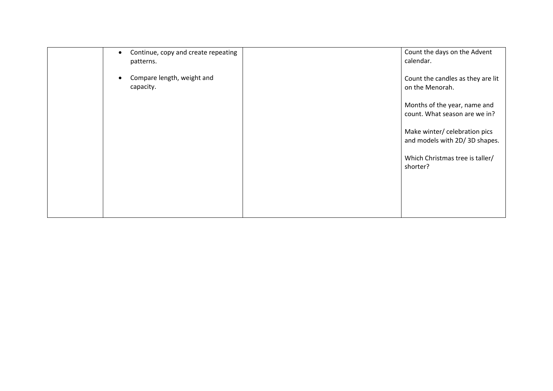| Continue, copy and create repeating<br>$\bullet$<br>patterns. | Count the days on the Advent<br>calendar.                      |
|---------------------------------------------------------------|----------------------------------------------------------------|
| Compare length, weight and<br>capacity.                       | Count the candles as they are lit<br>on the Menorah.           |
|                                                               | Months of the year, name and<br>count. What season are we in?  |
|                                                               | Make winter/ celebration pics<br>and models with 2D/3D shapes. |
|                                                               | Which Christmas tree is taller/<br>shorter?                    |
|                                                               |                                                                |
|                                                               |                                                                |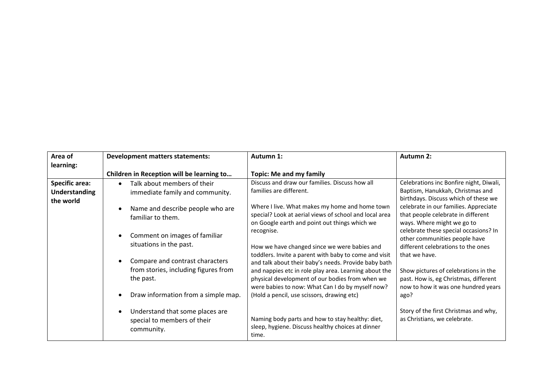| Area of<br>learning:                                       | <b>Development matters statements:</b>                                               | Autumn 1:                                                                                                                                                                                                                                                                     | Autumn 2:                                                                                                                             |
|------------------------------------------------------------|--------------------------------------------------------------------------------------|-------------------------------------------------------------------------------------------------------------------------------------------------------------------------------------------------------------------------------------------------------------------------------|---------------------------------------------------------------------------------------------------------------------------------------|
|                                                            | Children in Reception will be learning to                                            | <b>Topic: Me and my family</b>                                                                                                                                                                                                                                                |                                                                                                                                       |
| <b>Specific area:</b><br><b>Understanding</b><br>the world | Talk about members of their<br>immediate family and community.                       | Discuss and draw our families. Discuss how all<br>families are different.                                                                                                                                                                                                     | Celebrations inc Bonfire night, Diwali,<br>Baptism, Hanukkah, Christmas and<br>birthdays. Discuss which of these we                   |
|                                                            | Name and describe people who are<br>familiar to them.                                | Where I live. What makes my home and home town<br>special? Look at aerial views of school and local area<br>on Google earth and point out things which we                                                                                                                     | celebrate in our families. Appreciate<br>that people celebrate in different<br>ways. Where might we go to                             |
|                                                            | Comment on images of familiar<br>situations in the past.                             | recognise.<br>How we have changed since we were babies and                                                                                                                                                                                                                    | celebrate these special occasions? In<br>other communities people have<br>different celebrations to the ones                          |
|                                                            | Compare and contrast characters<br>from stories, including figures from<br>the past. | toddlers. Invite a parent with baby to come and visit<br>and talk about their baby's needs. Provide baby bath<br>and nappies etc in role play area. Learning about the<br>physical development of our bodies from when we<br>were babies to now: What Can I do by myself now? | that we have.<br>Show pictures of celebrations in the<br>past. How is, eg Christmas, different<br>now to how it was one hundred years |
|                                                            | Draw information from a simple map.                                                  | (Hold a pencil, use scissors, drawing etc)                                                                                                                                                                                                                                    | ago?                                                                                                                                  |
|                                                            | Understand that some places are<br>special to members of their<br>community.         | Naming body parts and how to stay healthy: diet,<br>sleep, hygiene. Discuss healthy choices at dinner<br>time.                                                                                                                                                                | Story of the first Christmas and why,<br>as Christians, we celebrate.                                                                 |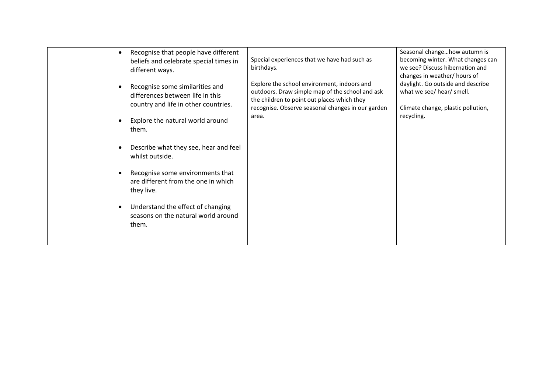| Recognise that people have different<br>$\bullet$<br>beliefs and celebrate special times in<br>different ways.           | Special experiences that we have had such as<br>birthdays.                                                                                                                                         | Seasonal changehow autumn is<br>becoming winter. What changes can<br>we see? Discuss hibernation and<br>changes in weather/ hours of |
|--------------------------------------------------------------------------------------------------------------------------|----------------------------------------------------------------------------------------------------------------------------------------------------------------------------------------------------|--------------------------------------------------------------------------------------------------------------------------------------|
| Recognise some similarities and<br>$\bullet$<br>differences between life in this<br>country and life in other countries. | Explore the school environment, indoors and<br>outdoors. Draw simple map of the school and ask<br>the children to point out places which they<br>recognise. Observe seasonal changes in our garden | daylight. Go outside and describe<br>what we see/ hear/ smell.<br>Climate change, plastic pollution,                                 |
| Explore the natural world around<br>$\bullet$<br>them.                                                                   | area.                                                                                                                                                                                              | recycling.                                                                                                                           |
| Describe what they see, hear and feel<br>$\bullet$<br>whilst outside.                                                    |                                                                                                                                                                                                    |                                                                                                                                      |
| Recognise some environments that<br>are different from the one in which<br>they live.                                    |                                                                                                                                                                                                    |                                                                                                                                      |
| Understand the effect of changing<br>$\bullet$<br>seasons on the natural world around<br>them.                           |                                                                                                                                                                                                    |                                                                                                                                      |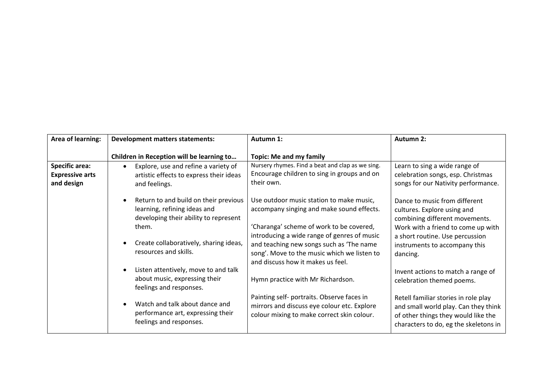| Area of learning:                                             | <b>Development matters statements:</b>                                                                                                                                                                  | Autumn 1:                                                                                                                                                                                                                                                                                                        | <b>Autumn 2:</b>                                                                                                                                                                                                     |
|---------------------------------------------------------------|---------------------------------------------------------------------------------------------------------------------------------------------------------------------------------------------------------|------------------------------------------------------------------------------------------------------------------------------------------------------------------------------------------------------------------------------------------------------------------------------------------------------------------|----------------------------------------------------------------------------------------------------------------------------------------------------------------------------------------------------------------------|
|                                                               | Children in Reception will be learning to                                                                                                                                                               | <b>Topic: Me and my family</b>                                                                                                                                                                                                                                                                                   |                                                                                                                                                                                                                      |
| <b>Specific area:</b><br><b>Expressive arts</b><br>and design | Explore, use and refine a variety of<br>$\bullet$<br>artistic effects to express their ideas<br>and feelings.                                                                                           | Nursery rhymes. Find a beat and clap as we sing.<br>Encourage children to sing in groups and on<br>their own.                                                                                                                                                                                                    | Learn to sing a wide range of<br>celebration songs, esp. Christmas<br>songs for our Nativity performance.                                                                                                            |
|                                                               | Return to and build on their previous<br>$\bullet$<br>learning, refining ideas and<br>developing their ability to represent<br>them.<br>Create collaboratively, sharing ideas,<br>resources and skills. | Use outdoor music station to make music,<br>accompany singing and make sound effects.<br>'Charanga' scheme of work to be covered,<br>introducing a wide range of genres of music<br>and teaching new songs such as 'The name<br>song'. Move to the music which we listen to<br>and discuss how it makes us feel. | Dance to music from different<br>cultures. Explore using and<br>combining different movements.<br>Work with a friend to come up with<br>a short routine. Use percussion<br>instruments to accompany this<br>dancing. |
|                                                               | Listen attentively, move to and talk<br>$\bullet$<br>about music, expressing their<br>feelings and responses.                                                                                           | Hymn practice with Mr Richardson.                                                                                                                                                                                                                                                                                | Invent actions to match a range of<br>celebration themed poems.                                                                                                                                                      |
|                                                               | Watch and talk about dance and<br>$\bullet$<br>performance art, expressing their<br>feelings and responses.                                                                                             | Painting self- portraits. Observe faces in<br>mirrors and discuss eye colour etc. Explore<br>colour mixing to make correct skin colour.                                                                                                                                                                          | Retell familiar stories in role play<br>and small world play. Can they think<br>of other things they would like the<br>characters to do, eg the skeletons in                                                         |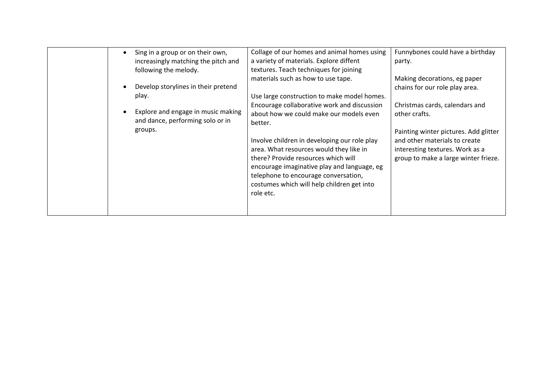| Sing in a group or on their own,<br>$\bullet$ | Collage of our homes and animal homes using  | Funnybones could have a birthday      |
|-----------------------------------------------|----------------------------------------------|---------------------------------------|
| increasingly matching the pitch and           | a variety of materials. Explore diffent      | party.                                |
| following the melody.                         | textures. Teach techniques for joining       |                                       |
|                                               | materials such as how to use tape.           | Making decorations, eg paper          |
| Develop storylines in their pretend           |                                              | chains for our role play area.        |
| play.                                         | Use large construction to make model homes.  |                                       |
|                                               | Encourage collaborative work and discussion  | Christmas cards, calendars and        |
| Explore and engage in music making            | about how we could make our models even      | other crafts.                         |
| and dance, performing solo or in              | better.                                      |                                       |
| groups.                                       |                                              | Painting winter pictures. Add glitter |
|                                               | Involve children in developing our role play | and other materials to create         |
|                                               | area. What resources would they like in      | interesting textures. Work as a       |
|                                               | there? Provide resources which will          | group to make a large winter frieze.  |
|                                               | encourage imaginative play and language, eg  |                                       |
|                                               | telephone to encourage conversation,         |                                       |
|                                               |                                              |                                       |
|                                               | costumes which will help children get into   |                                       |
|                                               | role etc.                                    |                                       |
|                                               |                                              |                                       |
|                                               |                                              |                                       |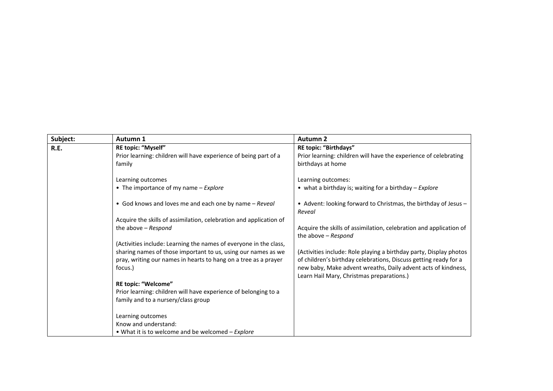| Subject: | Autumn 1                                                                                                                                    | <b>Autumn 2</b>                                                                                                                                                                                                                                      |
|----------|---------------------------------------------------------------------------------------------------------------------------------------------|------------------------------------------------------------------------------------------------------------------------------------------------------------------------------------------------------------------------------------------------------|
| R.E.     | RE topic: "Myself"                                                                                                                          | <b>RE topic: "Birthdays"</b>                                                                                                                                                                                                                         |
|          | Prior learning: children will have experience of being part of a                                                                            | Prior learning: children will have the experience of celebrating                                                                                                                                                                                     |
|          | family                                                                                                                                      | birthdays at home                                                                                                                                                                                                                                    |
|          | Learning outcomes                                                                                                                           | Learning outcomes:                                                                                                                                                                                                                                   |
|          | • The importance of my name - Explore                                                                                                       | • what a birthday is; waiting for a birthday - Explore                                                                                                                                                                                               |
|          | • God knows and loves me and each one by name - Reveal                                                                                      | • Advent: looking forward to Christmas, the birthday of Jesus -<br>Reveal                                                                                                                                                                            |
|          | Acquire the skills of assimilation, celebration and application of                                                                          |                                                                                                                                                                                                                                                      |
|          | the above - Respond                                                                                                                         | Acquire the skills of assimilation, celebration and application of<br>the above - Respond                                                                                                                                                            |
|          | (Activities include: Learning the names of everyone in the class,                                                                           |                                                                                                                                                                                                                                                      |
|          | sharing names of those important to us, using our names as we<br>pray, writing our names in hearts to hang on a tree as a prayer<br>focus.) | (Activities include: Role playing a birthday party, Display photos<br>of children's birthday celebrations, Discuss getting ready for a<br>new baby, Make advent wreaths, Daily advent acts of kindness,<br>Learn Hail Mary, Christmas preparations.) |
|          | RE topic: "Welcome"                                                                                                                         |                                                                                                                                                                                                                                                      |
|          | Prior learning: children will have experience of belonging to a                                                                             |                                                                                                                                                                                                                                                      |
|          | family and to a nursery/class group                                                                                                         |                                                                                                                                                                                                                                                      |
|          | Learning outcomes                                                                                                                           |                                                                                                                                                                                                                                                      |
|          | Know and understand:                                                                                                                        |                                                                                                                                                                                                                                                      |
|          | . What it is to welcome and be welcomed - Explore                                                                                           |                                                                                                                                                                                                                                                      |